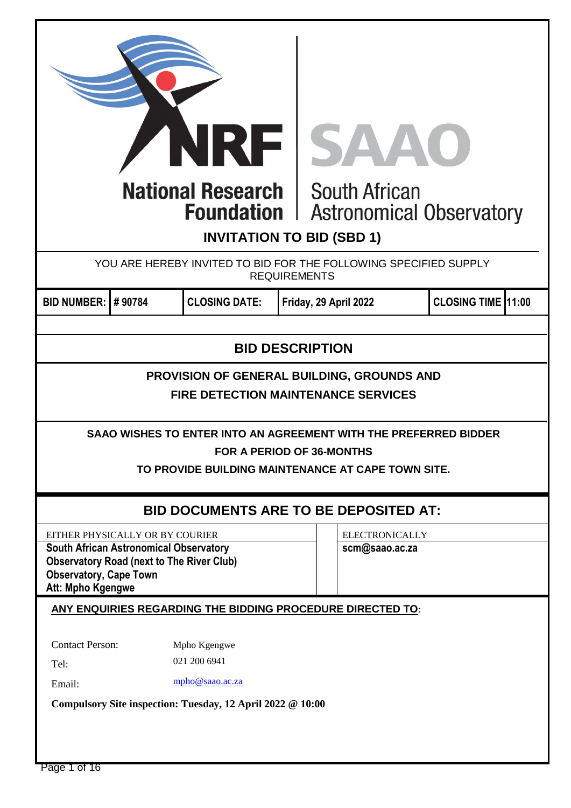| NREISAAO<br><b>National Research</b><br><b>South African</b><br><b>Foundation</b>  <br><b>Astronomical Observatory</b><br><b>INVITATION TO BID (SBD 1)</b> |                                                                                                                                                                                                                                       |                                                                                                                                                            |                       |  |                           |  |  |
|------------------------------------------------------------------------------------------------------------------------------------------------------------|---------------------------------------------------------------------------------------------------------------------------------------------------------------------------------------------------------------------------------------|------------------------------------------------------------------------------------------------------------------------------------------------------------|-----------------------|--|---------------------------|--|--|
|                                                                                                                                                            |                                                                                                                                                                                                                                       | YOU ARE HEREBY INVITED TO BID FOR THE FOLLOWING SPECIFIED SUPPLY                                                                                           | <b>REQUIREMENTS</b>   |  |                           |  |  |
| <b>BID NUMBER: #90784</b>                                                                                                                                  |                                                                                                                                                                                                                                       | <b>CLOSING DATE:</b>                                                                                                                                       | Friday, 29 April 2022 |  | <b>CLOSING TIME 11:00</b> |  |  |
|                                                                                                                                                            | <b>BID DESCRIPTION</b><br>PROVISION OF GENERAL BUILDING, GROUNDS AND<br><b>FIRE DETECTION MAINTENANCE SERVICES</b>                                                                                                                    |                                                                                                                                                            |                       |  |                           |  |  |
|                                                                                                                                                            |                                                                                                                                                                                                                                       | SAAO WISHES TO ENTER INTO AN AGREEMENT WITH THE PREFERRED BIDDER<br><b>FOR A PERIOD OF 36-MONTHS</b><br>TO PROVIDE BUILDING MAINTENANCE AT CAPE TOWN SITE. |                       |  |                           |  |  |
|                                                                                                                                                            |                                                                                                                                                                                                                                       | <b>BID DOCUMENTS ARE TO BE DEPOSITED AT:</b>                                                                                                               |                       |  |                           |  |  |
|                                                                                                                                                            | <b>ELECTRONICALLY</b><br>EITHER PHYSICALLY OR BY COURIER<br><b>South African Astronomical Observatory</b><br>scm@saao.ac.za<br><b>Observatory Road (next to The River Club)</b><br><b>Observatory, Cape Town</b><br>Att: Mpho Kgengwe |                                                                                                                                                            |                       |  |                           |  |  |
| ANY ENQUIRIES REGARDING THE BIDDING PROCEDURE DIRECTED TO:                                                                                                 |                                                                                                                                                                                                                                       |                                                                                                                                                            |                       |  |                           |  |  |
| Tel:<br>Email:                                                                                                                                             | <b>Contact Person:</b><br>Mpho Kgengwe<br>021 200 6941<br>mpho@saao.ac.za<br>Compulsory Site inspection: Tuesday, 12 April 2022 @ 10:00                                                                                               |                                                                                                                                                            |                       |  |                           |  |  |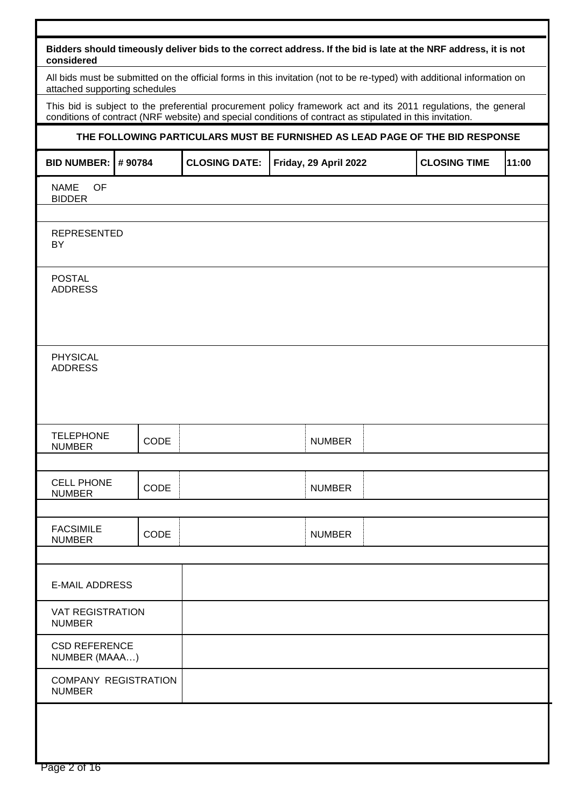| considered                                                                                                                                                                                                                  | Bidders should timeously deliver bids to the correct address. If the bid is late at the NRF address, it is not |                      |                                                                                                                         |                     |       |  |
|-----------------------------------------------------------------------------------------------------------------------------------------------------------------------------------------------------------------------------|----------------------------------------------------------------------------------------------------------------|----------------------|-------------------------------------------------------------------------------------------------------------------------|---------------------|-------|--|
| attached supporting schedules                                                                                                                                                                                               |                                                                                                                |                      | All bids must be submitted on the official forms in this invitation (not to be re-typed) with additional information on |                     |       |  |
| This bid is subject to the preferential procurement policy framework act and its 2011 regulations, the general<br>conditions of contract (NRF website) and special conditions of contract as stipulated in this invitation. |                                                                                                                |                      |                                                                                                                         |                     |       |  |
|                                                                                                                                                                                                                             |                                                                                                                |                      | THE FOLLOWING PARTICULARS MUST BE FURNISHED AS LEAD PAGE OF THE BID RESPONSE                                            |                     |       |  |
| <b>BID NUMBER: #90784</b>                                                                                                                                                                                                   |                                                                                                                | <b>CLOSING DATE:</b> | Friday, 29 April 2022                                                                                                   | <b>CLOSING TIME</b> | 11:00 |  |
| <b>NAME</b><br>OF<br><b>BIDDER</b>                                                                                                                                                                                          |                                                                                                                |                      |                                                                                                                         |                     |       |  |
| <b>REPRESENTED</b><br>BY                                                                                                                                                                                                    |                                                                                                                |                      |                                                                                                                         |                     |       |  |
| <b>POSTAL</b><br><b>ADDRESS</b>                                                                                                                                                                                             |                                                                                                                |                      |                                                                                                                         |                     |       |  |
| <b>PHYSICAL</b><br><b>ADDRESS</b>                                                                                                                                                                                           |                                                                                                                |                      |                                                                                                                         |                     |       |  |
| <b>TELEPHONE</b><br><b>NUMBER</b>                                                                                                                                                                                           | CODE                                                                                                           |                      | <b>NUMBER</b>                                                                                                           |                     |       |  |
| <b>CELL PHONE</b><br><b>NUMBER</b>                                                                                                                                                                                          | CODE                                                                                                           |                      | <b>NUMBER</b>                                                                                                           |                     |       |  |
| <b>FACSIMILE</b><br><b>NUMBER</b>                                                                                                                                                                                           | CODE                                                                                                           |                      | <b>NUMBER</b>                                                                                                           |                     |       |  |
| <b>E-MAIL ADDRESS</b>                                                                                                                                                                                                       |                                                                                                                |                      |                                                                                                                         |                     |       |  |
| <b>VAT REGISTRATION</b><br><b>NUMBER</b>                                                                                                                                                                                    |                                                                                                                |                      |                                                                                                                         |                     |       |  |
| <b>CSD REFERENCE</b><br>NUMBER (MAAA)                                                                                                                                                                                       |                                                                                                                |                      |                                                                                                                         |                     |       |  |
| <b>COMPANY REGISTRATION</b><br><b>NUMBER</b>                                                                                                                                                                                |                                                                                                                |                      |                                                                                                                         |                     |       |  |
| Page 2 of 16                                                                                                                                                                                                                |                                                                                                                |                      |                                                                                                                         |                     |       |  |

T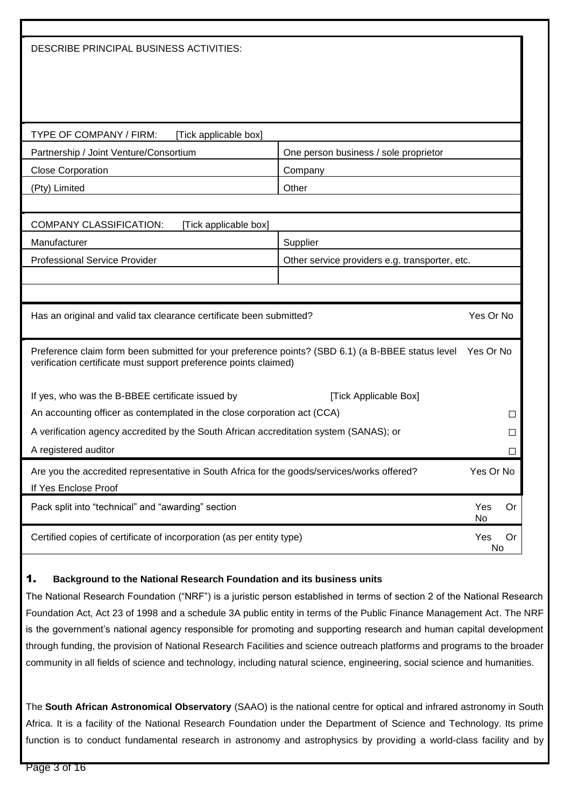| TYPE OF COMPANY / FIRM:<br>[Tick applicable box]                                                                                                                      |                                                |                 |  |  |
|-----------------------------------------------------------------------------------------------------------------------------------------------------------------------|------------------------------------------------|-----------------|--|--|
| Partnership / Joint Venture/Consortium                                                                                                                                | One person business / sole proprietor          |                 |  |  |
| <b>Close Corporation</b>                                                                                                                                              | Company                                        |                 |  |  |
| (Pty) Limited                                                                                                                                                         | Other                                          |                 |  |  |
|                                                                                                                                                                       |                                                |                 |  |  |
| <b>COMPANY CLASSIFICATION:</b><br>[Tick applicable box]                                                                                                               |                                                |                 |  |  |
| Manufacturer                                                                                                                                                          | Supplier                                       |                 |  |  |
| <b>Professional Service Provider</b>                                                                                                                                  | Other service providers e.g. transporter, etc. |                 |  |  |
|                                                                                                                                                                       |                                                |                 |  |  |
|                                                                                                                                                                       |                                                |                 |  |  |
| Yes Or No<br>Has an original and valid tax clearance certificate been submitted?                                                                                      |                                                |                 |  |  |
| Preference claim form been submitted for your preference points? (SBD 6.1) (a B-BBEE status level<br>verification certificate must support preference points claimed) |                                                | Yes Or No       |  |  |
| If yes, who was the B-BBEE certificate issued by                                                                                                                      | [Tick Applicable Box]                          |                 |  |  |
| An accounting officer as contemplated in the close corporation act (CCA)                                                                                              |                                                | $\Box$          |  |  |
| A verification agency accredited by the South African accreditation system (SANAS); or                                                                                |                                                | □               |  |  |
| A registered auditor                                                                                                                                                  |                                                |                 |  |  |
|                                                                                                                                                                       |                                                | П               |  |  |
| Are you the accredited representative in South Africa for the goods/services/works offered?<br>If Yes Enclose Proof                                                   |                                                | Yes Or No       |  |  |
| Pack split into "technical" and "awarding" section                                                                                                                    |                                                | Yes<br>Or<br>No |  |  |

### 1. **Background to the National Research Foundation and its business units**

The National Research Foundation ("NRF") is a juristic person established in terms of section 2 of the National Research Foundation Act, Act 23 of 1998 and a schedule 3A public entity in terms of the Public Finance Management Act. The NRF is the government's national agency responsible for promoting and supporting research and human capital development through funding, the provision of National Research Facilities and science outreach platforms and programs to the broader community in all fields of science and technology, including natural science, engineering, social science and humanities.

The **South African Astronomical Observatory** (SAAO) is the national centre for optical and infrared astronomy in South Africa. It is a facility of the National Research Foundation under the Department of Science and Technology. Its prime function is to conduct fundamental research in astronomy and astrophysics by providing a world-class facility and by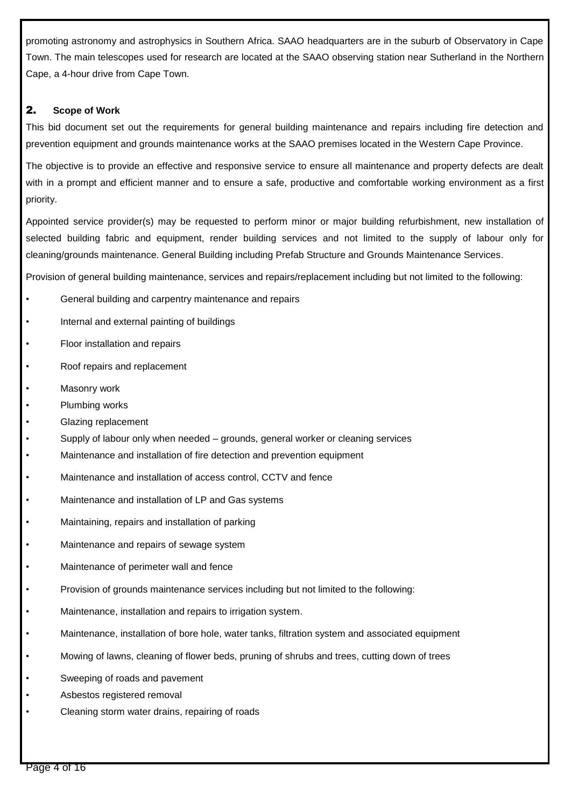promoting astronomy and astrophysics in Southern Africa. SAAO headquarters are in the suburb of Observatory in Cape Town. The main telescopes used for research are located at the SAAO observing station near Sutherland in the Northern Cape, a 4-hour drive from Cape Town.

# 2. **Scope of Work**

This bid document set out the requirements for general building maintenance and repairs including fire detection and prevention equipment and grounds maintenance works at the SAAO premises located in the Western Cape Province.

The objective is to provide an effective and responsive service to ensure all maintenance and property defects are dealt with in a prompt and efficient manner and to ensure a safe, productive and comfortable working environment as a first priority.

Appointed service provider(s) may be requested to perform minor or major building refurbishment, new installation of selected building fabric and equipment, render building services and not limited to the supply of labour only for cleaning/grounds maintenance. General Building including Prefab Structure and Grounds Maintenance Services.

Provision of general building maintenance, services and repairs/replacement including but not limited to the following:

- General building and carpentry maintenance and repairs
- Internal and external painting of buildings
- Floor installation and repairs
- Roof repairs and replacement
- Masonry work
- Plumbing works
- Glazing replacement
- Supply of labour only when needed grounds, general worker or cleaning services
- Maintenance and installation of fire detection and prevention equipment
- Maintenance and installation of access control, CCTV and fence
- Maintenance and installation of LP and Gas systems
- Maintaining, repairs and installation of parking
- Maintenance and repairs of sewage system
- Maintenance of perimeter wall and fence
- Provision of grounds maintenance services including but not limited to the following:
- Maintenance, installation and repairs to irrigation system.
- Maintenance, installation of bore hole, water tanks, filtration system and associated equipment
- Mowing of lawns, cleaning of flower beds, pruning of shrubs and trees, cutting down of trees
- Sweeping of roads and pavement
- Asbestos registered removal
- Cleaning storm water drains, repairing of roads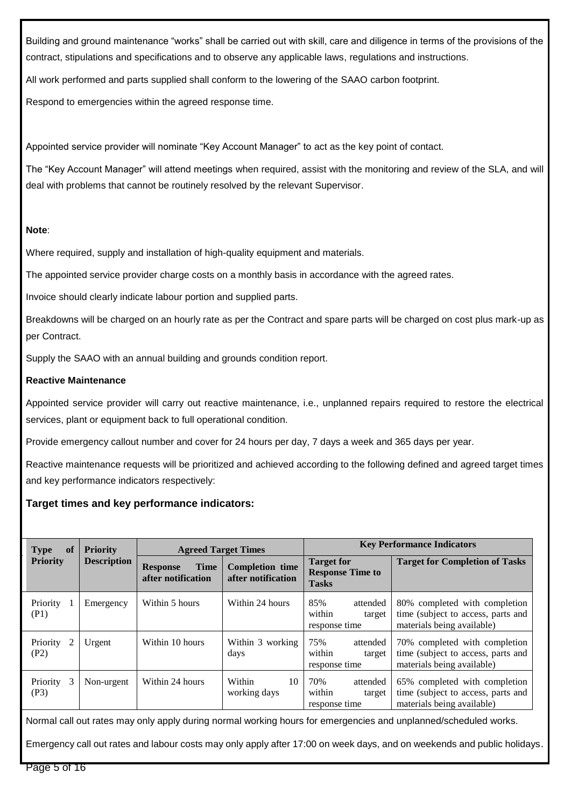Building and ground maintenance "works" shall be carried out with skill, care and diligence in terms of the provisions of the contract, stipulations and specifications and to observe any applicable laws, regulations and instructions.

All work performed and parts supplied shall conform to the lowering of the SAAO carbon footprint.

Respond to emergencies within the agreed response time.

Appointed service provider will nominate "Key Account Manager" to act as the key point of contact.

The "Key Account Manager" will attend meetings when required, assist with the monitoring and review of the SLA, and will deal with problems that cannot be routinely resolved by the relevant Supervisor.

## **Note**:

Where required, supply and installation of high-quality equipment and materials.

The appointed service provider charge costs on a monthly basis in accordance with the agreed rates.

Invoice should clearly indicate labour portion and supplied parts.

Breakdowns will be charged on an hourly rate as per the Contract and spare parts will be charged on cost plus mark-up as per Contract.

Supply the SAAO with an annual building and grounds condition report.

## **Reactive Maintenance**

Appointed service provider will carry out reactive maintenance, i.e., unplanned repairs required to restore the electrical services, plant or equipment back to full operational condition.

Provide emergency callout number and cover for 24 hours per day, 7 days a week and 365 days per year.

Reactive maintenance requests will be prioritized and achieved according to the following defined and agreed target times and key performance indicators respectively:

# **Target times and key performance indicators:**

| <sup>of</sup><br><b>Type</b> | <b>Priority</b>    | <b>Agreed Target Times</b>                           |                                              | <b>Key Performance Indicators</b>                            |                                                                                                   |  |
|------------------------------|--------------------|------------------------------------------------------|----------------------------------------------|--------------------------------------------------------------|---------------------------------------------------------------------------------------------------|--|
| <b>Priority</b>              | <b>Description</b> | <b>Time</b><br><b>Response</b><br>after notification | <b>Completion time</b><br>after notification | <b>Target for</b><br><b>Response Time to</b><br><b>Tasks</b> | <b>Target for Completion of Tasks</b>                                                             |  |
| Priority<br>(P1)             | Emergency          | Within 5 hours                                       | Within 24 hours                              | 85%<br>attended<br>within<br>target<br>response time         | 80% completed with completion<br>time (subject to access, parts and<br>materials being available) |  |
| Priority<br>2<br>(P2)        | Urgent             | Within 10 hours                                      | Within 3 working<br>days                     | 75%<br>attended<br>within<br>target<br>response time         | 70% completed with completion<br>time (subject to access, parts and<br>materials being available) |  |
| Priority 3<br>(P3)           | Non-urgent         | Within 24 hours                                      | Within<br>10<br>working days                 | 70%<br>attended<br>within<br>target<br>response time         | 65% completed with completion<br>time (subject to access, parts and<br>materials being available) |  |

Normal call out rates may only apply during normal working hours for emergencies and unplanned/scheduled works.

Emergency call out rates and labour costs may only apply after 17:00 on week days, and on weekends and public holidays.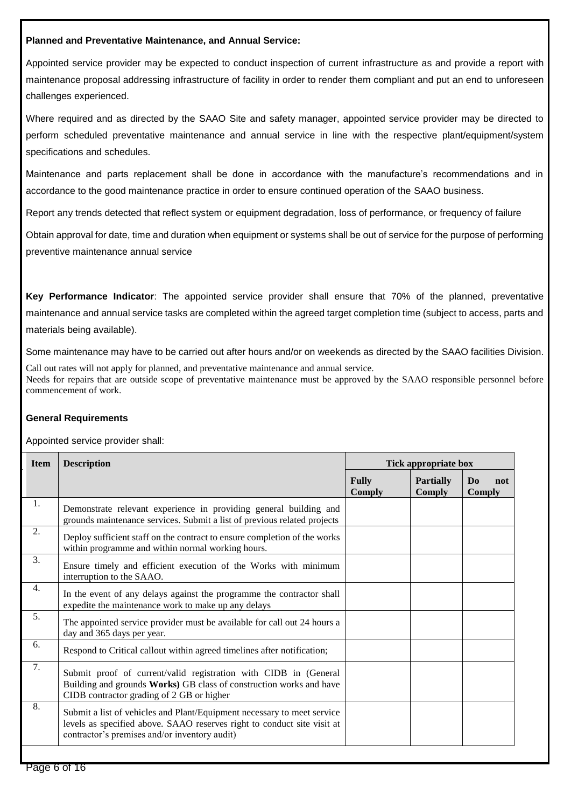### **Planned and Preventative Maintenance, and Annual Service:**

Appointed service provider may be expected to conduct inspection of current infrastructure as and provide a report with maintenance proposal addressing infrastructure of facility in order to render them compliant and put an end to unforeseen challenges experienced.

Where required and as directed by the SAAO Site and safety manager, appointed service provider may be directed to perform scheduled preventative maintenance and annual service in line with the respective plant/equipment/system specifications and schedules.

Maintenance and parts replacement shall be done in accordance with the manufacture's recommendations and in accordance to the good maintenance practice in order to ensure continued operation of the SAAO business.

Report any trends detected that reflect system or equipment degradation, loss of performance, or frequency of failure

Obtain approval for date, time and duration when equipment or systems shall be out of service for the purpose of performing preventive maintenance annual service

**Key Performance Indicator**: The appointed service provider shall ensure that 70% of the planned, preventative maintenance and annual service tasks are completed within the agreed target completion time (subject to access, parts and materials being available).

Some maintenance may have to be carried out after hours and/or on weekends as directed by the SAAO facilities Division.

Call out rates will not apply for planned, and preventative maintenance and annual service. Needs for repairs that are outside scope of preventative maintenance must be approved by the SAAO responsible personnel before commencement of work.

### **General Requirements**

### Appointed service provider shall:

| <b>Item</b> | <b>Description</b>                                                                                                                                                                                  | <b>Tick appropriate box</b>   |                                   |                                        |
|-------------|-----------------------------------------------------------------------------------------------------------------------------------------------------------------------------------------------------|-------------------------------|-----------------------------------|----------------------------------------|
|             |                                                                                                                                                                                                     | <b>Fully</b><br><b>Comply</b> | <b>Partially</b><br><b>Comply</b> | D <sub>0</sub><br>not<br><b>Comply</b> |
| 1.          | Demonstrate relevant experience in providing general building and<br>grounds maintenance services. Submit a list of previous related projects                                                       |                               |                                   |                                        |
| 2.          | Deploy sufficient staff on the contract to ensure completion of the works<br>within programme and within normal working hours.                                                                      |                               |                                   |                                        |
| 3.          | Ensure timely and efficient execution of the Works with minimum<br>interruption to the SAAO.                                                                                                        |                               |                                   |                                        |
| 4.          | In the event of any delays against the programme the contractor shall<br>expedite the maintenance work to make up any delays                                                                        |                               |                                   |                                        |
| 5.          | The appointed service provider must be available for call out 24 hours a<br>day and 365 days per year.                                                                                              |                               |                                   |                                        |
| 6.          | Respond to Critical callout within agreed timelines after notification;                                                                                                                             |                               |                                   |                                        |
| 7.          | Submit proof of current/valid registration with CIDB in (General<br>Building and grounds Works) GB class of construction works and have<br>CIDB contractor grading of 2 GB or higher                |                               |                                   |                                        |
| 8.          | Submit a list of vehicles and Plant/Equipment necessary to meet service<br>levels as specified above. SAAO reserves right to conduct site visit at<br>contractor's premises and/or inventory audit) |                               |                                   |                                        |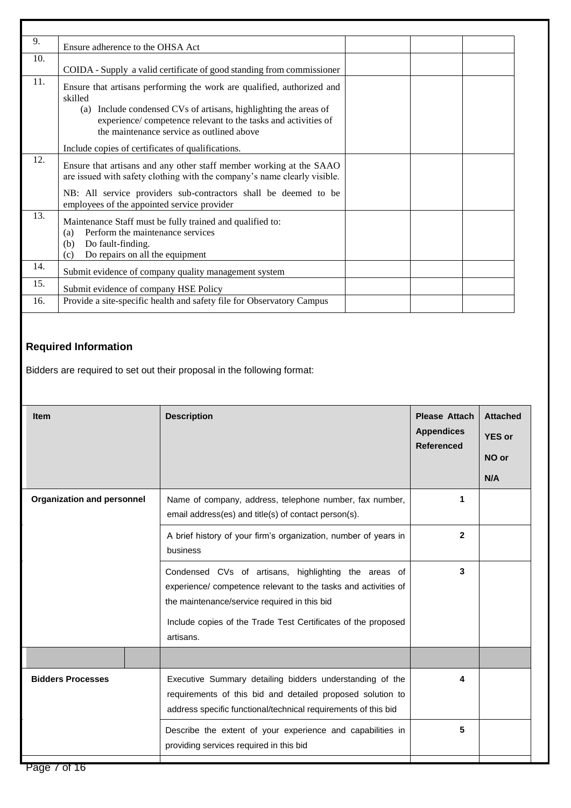| 9.  | Ensure adherence to the OHSA Act                                                                                                                                                                                                                                    |  |  |
|-----|---------------------------------------------------------------------------------------------------------------------------------------------------------------------------------------------------------------------------------------------------------------------|--|--|
| 10. |                                                                                                                                                                                                                                                                     |  |  |
|     | COIDA - Supply a valid certificate of good standing from commissioner                                                                                                                                                                                               |  |  |
| 11. | Ensure that artisans performing the work are qualified, authorized and<br>skilled<br>(a) Include condensed CVs of artisans, highlighting the areas of<br>experience/competence relevant to the tasks and activities of<br>the maintenance service as outlined above |  |  |
|     | Include copies of certificates of qualifications.                                                                                                                                                                                                                   |  |  |
| 12. | Ensure that artisans and any other staff member working at the SAAO<br>are issued with safety clothing with the company's name clearly visible.                                                                                                                     |  |  |
|     | NB: All service providers sub-contractors shall be deemed to be<br>employees of the appointed service provider                                                                                                                                                      |  |  |
| 13. | Maintenance Staff must be fully trained and qualified to:<br>Perform the maintenance services<br>(a)<br>Do fault-finding.<br>(b)<br>Do repairs on all the equipment<br>(c)                                                                                          |  |  |
| 14. | Submit evidence of company quality management system                                                                                                                                                                                                                |  |  |
| 15. | Submit evidence of company HSE Policy                                                                                                                                                                                                                               |  |  |
| 16. | Provide a site-specific health and safety file for Observatory Campus                                                                                                                                                                                               |  |  |

# **Required Information**

Bidders are required to set out their proposal in the following format:

| <b>Item</b>                       | <b>Description</b>                                                                                                                                                                                                                                   | <b>Please Attach</b><br><b>Appendices</b><br><b>Referenced</b> | <b>Attached</b><br><b>YES or</b><br>NO or<br>N/A |
|-----------------------------------|------------------------------------------------------------------------------------------------------------------------------------------------------------------------------------------------------------------------------------------------------|----------------------------------------------------------------|--------------------------------------------------|
| <b>Organization and personnel</b> | Name of company, address, telephone number, fax number,<br>email address(es) and title(s) of contact person(s).                                                                                                                                      | 1                                                              |                                                  |
|                                   | A brief history of your firm's organization, number of years in<br>business                                                                                                                                                                          | $\mathbf{2}$                                                   |                                                  |
|                                   | Condensed CVs of artisans, highlighting the areas of<br>experience/ competence relevant to the tasks and activities of<br>the maintenance/service required in this bid<br>Include copies of the Trade Test Certificates of the proposed<br>artisans. | 3                                                              |                                                  |
|                                   |                                                                                                                                                                                                                                                      |                                                                |                                                  |
| <b>Bidders Processes</b>          | Executive Summary detailing bidders understanding of the<br>requirements of this bid and detailed proposed solution to<br>address specific functional/technical requirements of this bid                                                             | 4                                                              |                                                  |
|                                   | Describe the extent of your experience and capabilities in<br>providing services required in this bid                                                                                                                                                | 5                                                              |                                                  |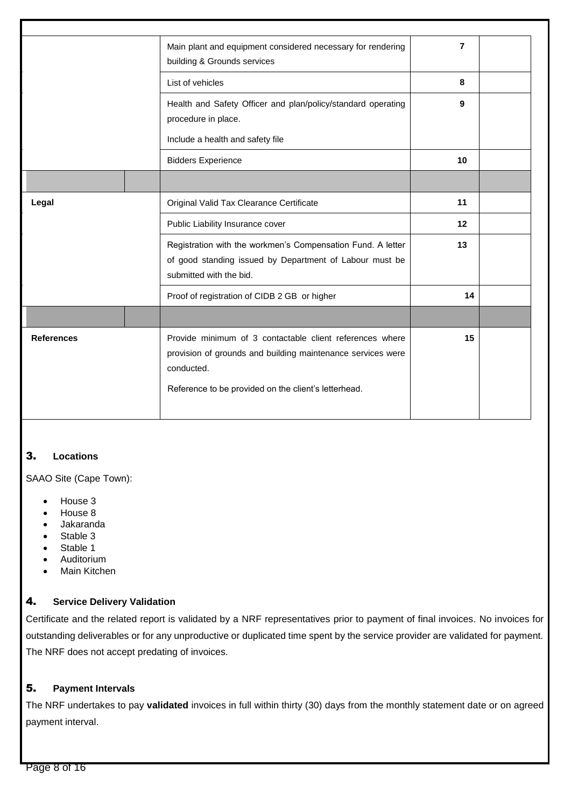|                   | Main plant and equipment considered necessary for rendering<br>building & Grounds services                                                                                                    | 7  |  |
|-------------------|-----------------------------------------------------------------------------------------------------------------------------------------------------------------------------------------------|----|--|
|                   | List of vehicles                                                                                                                                                                              | 8  |  |
|                   | Health and Safety Officer and plan/policy/standard operating<br>procedure in place.                                                                                                           | 9  |  |
|                   | Include a health and safety file                                                                                                                                                              |    |  |
|                   | <b>Bidders Experience</b>                                                                                                                                                                     | 10 |  |
|                   |                                                                                                                                                                                               |    |  |
| Legal             | Original Valid Tax Clearance Certificate                                                                                                                                                      | 11 |  |
|                   | Public Liability Insurance cover                                                                                                                                                              | 12 |  |
|                   | Registration with the workmen's Compensation Fund. A letter<br>of good standing issued by Department of Labour must be<br>submitted with the bid.                                             | 13 |  |
|                   | Proof of registration of CIDB 2 GB or higher                                                                                                                                                  | 14 |  |
|                   |                                                                                                                                                                                               |    |  |
| <b>References</b> | Provide minimum of 3 contactable client references where<br>provision of grounds and building maintenance services were<br>conducted.<br>Reference to be provided on the client's letterhead. | 15 |  |

# 3. **Locations**

SAAO Site (Cape Town):

- House 3
- House 8
- Jakaranda
- Stable 3
- Stable 1
- Auditorium
- Main Kitchen

### 4. **Service Delivery Validation**

Certificate and the related report is validated by a NRF representatives prior to payment of final invoices. No invoices for outstanding deliverables or for any unproductive or duplicated time spent by the service provider are validated for payment. The NRF does not accept predating of invoices.

# 5. **Payment Intervals**

The NRF undertakes to pay **validated** invoices in full within thirty (30) days from the monthly statement date or on agreed payment interval.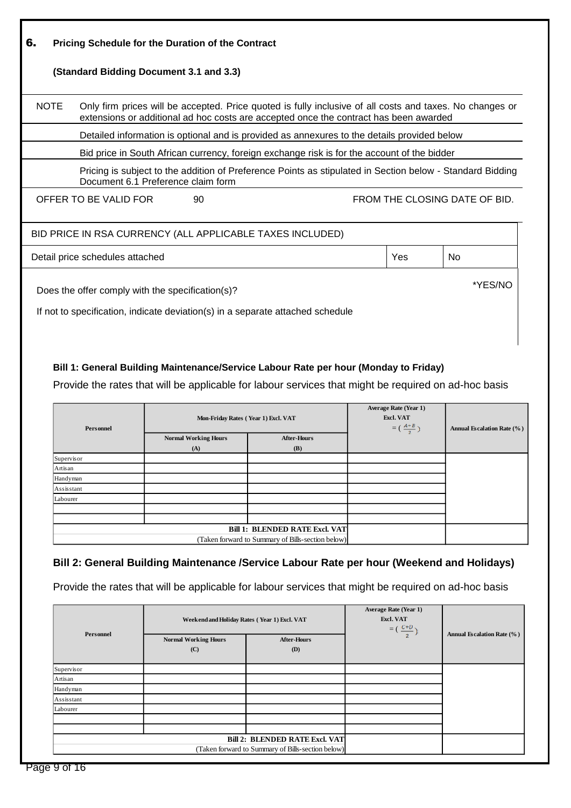|                                                  | (Standard Bidding Document 3.1 and 3.3)                                                                                                                                                           |                                                                                            |                                                                            |                                   |
|--------------------------------------------------|---------------------------------------------------------------------------------------------------------------------------------------------------------------------------------------------------|--------------------------------------------------------------------------------------------|----------------------------------------------------------------------------|-----------------------------------|
| <b>NOTE</b>                                      | Only firm prices will be accepted. Price quoted is fully inclusive of all costs and taxes. No changes or<br>extensions or additional ad hoc costs are accepted once the contract has been awarded |                                                                                            |                                                                            |                                   |
|                                                  | Detailed information is optional and is provided as annexures to the details provided below                                                                                                       |                                                                                            |                                                                            |                                   |
|                                                  | Bid price in South African currency, foreign exchange risk is for the account of the bidder                                                                                                       |                                                                                            |                                                                            |                                   |
|                                                  | Pricing is subject to the addition of Preference Points as stipulated in Section below - Standard Bidding<br>Document 6.1 Preference claim form                                                   |                                                                                            |                                                                            |                                   |
| OFFER TO BE VALID FOR                            | 90                                                                                                                                                                                                |                                                                                            |                                                                            | FROM THE CLOSING DATE OF BID.     |
|                                                  | BID PRICE IN RSA CURRENCY (ALL APPLICABLE TAXES INCLUDED)                                                                                                                                         |                                                                                            |                                                                            |                                   |
| Detail price schedules attached                  |                                                                                                                                                                                                   |                                                                                            | Yes                                                                        | No.                               |
| Does the offer comply with the specification(s)? |                                                                                                                                                                                                   |                                                                                            |                                                                            | *YES/NO                           |
|                                                  |                                                                                                                                                                                                   |                                                                                            |                                                                            |                                   |
|                                                  | If not to specification, indicate deviation(s) in a separate attached schedule                                                                                                                    |                                                                                            |                                                                            |                                   |
|                                                  |                                                                                                                                                                                                   |                                                                                            |                                                                            |                                   |
|                                                  | Bill 1: General Building Maintenance/Service Labour Rate per hour (Monday to Friday)                                                                                                              |                                                                                            |                                                                            |                                   |
|                                                  | Provide the rates that will be applicable for labour services that might be required on ad-hoc basis                                                                                              |                                                                                            |                                                                            |                                   |
| <b>Personnel</b>                                 | Mon-Friday Rates (Year 1) Excl. VAT                                                                                                                                                               |                                                                                            | <b>Average Rate (Year 1)</b><br>Excl. VAT<br>$=\left(\frac{A+B}{2}\right)$ | Annual Escalation Rate (%)        |
|                                                  | <b>Normal Working Hours</b><br>(A)                                                                                                                                                                | <b>After-Hours</b><br>(B)                                                                  |                                                                            |                                   |
| Supervisor                                       |                                                                                                                                                                                                   |                                                                                            |                                                                            |                                   |
| Artisan<br>Handyman                              |                                                                                                                                                                                                   |                                                                                            |                                                                            |                                   |
|                                                  |                                                                                                                                                                                                   |                                                                                            |                                                                            |                                   |
| Assisstant                                       |                                                                                                                                                                                                   |                                                                                            |                                                                            |                                   |
| Labourer                                         |                                                                                                                                                                                                   |                                                                                            |                                                                            |                                   |
|                                                  |                                                                                                                                                                                                   |                                                                                            |                                                                            |                                   |
|                                                  |                                                                                                                                                                                                   |                                                                                            |                                                                            |                                   |
|                                                  |                                                                                                                                                                                                   | <b>Bill 1: BLENDED RATE Excl. VAT</b><br>(Taken forward to Summary of Bills-section below) |                                                                            |                                   |
|                                                  | Bill 2: General Building Maintenance /Service Labour Rate per hour (Weekend and Holidays)<br>Provide the rates that will be applicable for labour services that might be required on ad-hoc basis |                                                                                            | <b>Average Rate (Year 1)</b>                                               |                                   |
| <b>Personnel</b>                                 | Weekend and Holiday Rates (Year 1) Excl. VAT                                                                                                                                                      |                                                                                            | Excl. VAT<br>$=(\frac{C+D}{2})$                                            |                                   |
|                                                  | <b>Normal Working Hours</b><br>(C)                                                                                                                                                                | <b>After-Hours</b><br>(D)                                                                  |                                                                            |                                   |
| Supervisor                                       |                                                                                                                                                                                                   |                                                                                            |                                                                            | <b>Annual Escalation Rate (%)</b> |
| Artisan                                          |                                                                                                                                                                                                   |                                                                                            |                                                                            |                                   |
| Handyman                                         |                                                                                                                                                                                                   |                                                                                            |                                                                            |                                   |
| Assisstant                                       |                                                                                                                                                                                                   |                                                                                            |                                                                            |                                   |
| Labourer                                         |                                                                                                                                                                                                   |                                                                                            |                                                                            |                                   |
|                                                  |                                                                                                                                                                                                   | <b>Bill 2: BLENDED RATE Excl. VAT</b>                                                      |                                                                            |                                   |

Page 9 of 16

Г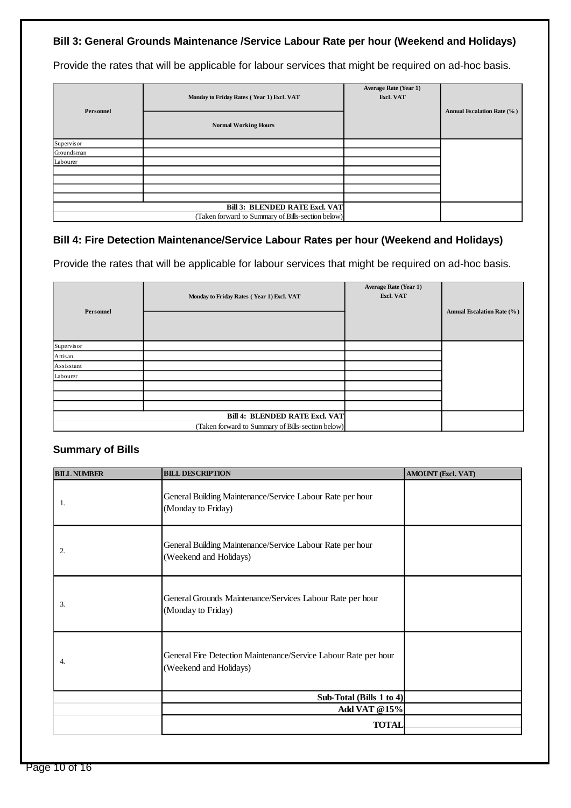# **Bill 3: General Grounds Maintenance /Service Labour Rate per hour (Weekend and Holidays)**

Provide the rates that will be applicable for labour services that might be required on ad-hoc basis.

| <b>Personnel</b> | Monday to Friday Rates (Year 1) Excl. VAT         | <b>Average Rate (Year 1)</b><br>Excl. VAT | <b>Annual Escalation Rate (%)</b> |
|------------------|---------------------------------------------------|-------------------------------------------|-----------------------------------|
|                  | <b>Normal Working Hours</b>                       |                                           |                                   |
| Supervisor       |                                                   |                                           |                                   |
| Groundsman       |                                                   |                                           |                                   |
| Labourer         |                                                   |                                           |                                   |
|                  |                                                   |                                           |                                   |
|                  |                                                   |                                           |                                   |
|                  |                                                   |                                           |                                   |
|                  |                                                   |                                           |                                   |
|                  | <b>Bill 3: BLENDED RATE Excl. VAT</b>             |                                           |                                   |
|                  | (Taken forward to Summary of Bills-section below) |                                           |                                   |

# **Bill 4: Fire Detection Maintenance/Service Labour Rates per hour (Weekend and Holidays)**

Provide the rates that will be applicable for labour services that might be required on ad-hoc basis.

| Personnel  | Monday to Friday Rates (Year 1) Excl. VAT         | <b>Average Rate (Year 1)</b><br>Excl. VAT | <b>Annual Escalation Rate (%)</b> |
|------------|---------------------------------------------------|-------------------------------------------|-----------------------------------|
| Supervisor |                                                   |                                           |                                   |
| Artisan    |                                                   |                                           |                                   |
| Assisstant |                                                   |                                           |                                   |
| Labourer   |                                                   |                                           |                                   |
|            |                                                   |                                           |                                   |
|            |                                                   |                                           |                                   |
|            |                                                   |                                           |                                   |
|            | <b>Bill 4: BLENDED RATE Excl. VAT</b>             |                                           |                                   |
|            | (Taken forward to Summary of Bills-section below) |                                           |                                   |

# **Summary of Bills**

| <b>BILL NUMBER</b> | <b>BILL DESCRIPTION</b>                                                                   | <b>AMOUNT (Excl. VAT)</b> |
|--------------------|-------------------------------------------------------------------------------------------|---------------------------|
| -1.                | General Building Maintenance/Service Labour Rate per hour<br>(Monday to Friday)           |                           |
| 2.                 | General Building Maintenance/Service Labour Rate per hour<br>(Weekend and Holidays)       |                           |
| 3.                 | General Grounds Maintenance/Services Labour Rate per hour<br>(Monday to Friday)           |                           |
| $\overline{4}$ .   | General Fire Detection Maintenance/Service Labour Rate per hour<br>(Weekend and Holidays) |                           |
|                    | Sub-Total (Bills 1 to 4)                                                                  |                           |
|                    | Add VAT @15%                                                                              |                           |
|                    | <b>TOTAL</b>                                                                              |                           |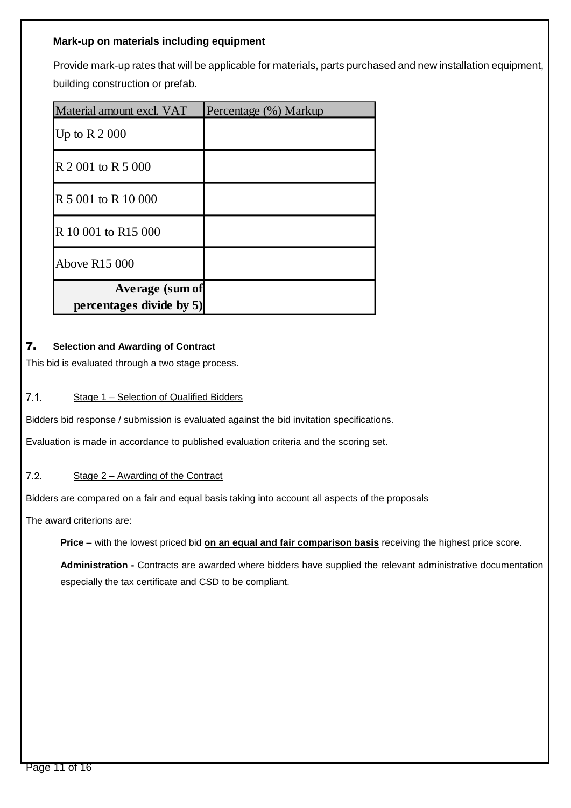# **Mark-up on materials including equipment**

Provide mark-up rates that will be applicable for materials, parts purchased and new installation equipment, building construction or prefab.

| Material amount excl. VAT | Percentage (%) Markup |
|---------------------------|-----------------------|
| Up to $R$ 2 000           |                       |
| R 2 001 to R 5 000        |                       |
| R 5 001 to R 10 000       |                       |
| R 10 001 to R15 000       |                       |
| Above R15 000             |                       |
| Average (sum of           |                       |
| percentages divide by 5)  |                       |

# 7. **Selection and Awarding of Contract**

This bid is evaluated through a two stage process.

#### Stage 1 – Selection of Qualified Bidders  $7.1.$

Bidders bid response / submission is evaluated against the bid invitation specifications.

Evaluation is made in accordance to published evaluation criteria and the scoring set.

#### $7.2.$ Stage 2 – Awarding of the Contract

Bidders are compared on a fair and equal basis taking into account all aspects of the proposals

The award criterions are:

**Price** – with the lowest priced bid **on an equal and fair comparison basis** receiving the highest price score.

**Administration -** Contracts are awarded where bidders have supplied the relevant administrative documentation especially the tax certificate and CSD to be compliant.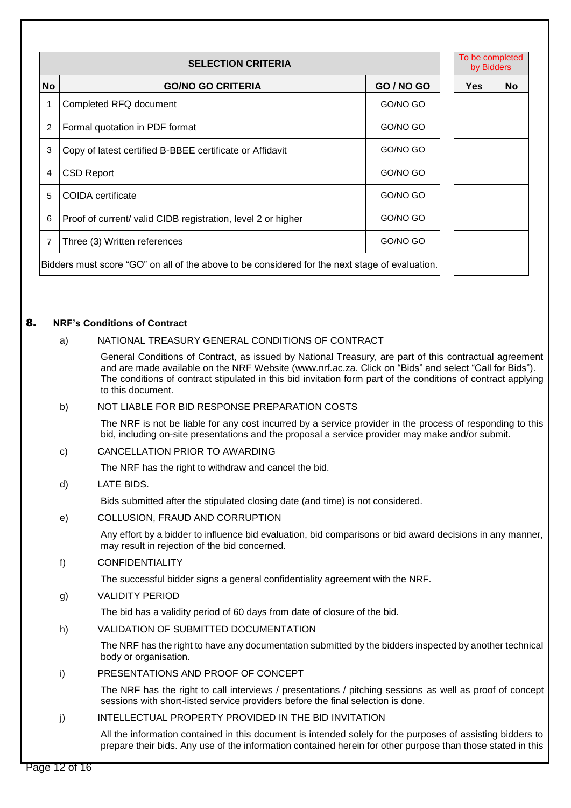| <b>SELECTION CRITERIA</b> |                                                                                                | To be completed<br>by Bidders |            |           |
|---------------------------|------------------------------------------------------------------------------------------------|-------------------------------|------------|-----------|
| <b>No</b>                 | <b>GO/NO GO CRITERIA</b>                                                                       | <b>GO / NO GO</b>             | <b>Yes</b> | <b>No</b> |
| 1                         | Completed RFQ document                                                                         | GO/NO GO                      |            |           |
| 2                         | Formal quotation in PDF format                                                                 | GO/NO GO                      |            |           |
| 3                         | Copy of latest certified B-BBEE certificate or Affidavit                                       | GO/NO GO                      |            |           |
| 4                         | <b>CSD Report</b>                                                                              | GO/NO GO                      |            |           |
| 5                         | <b>COIDA</b> certificate                                                                       | GO/NO GO                      |            |           |
| 6                         | Proof of current/ valid CIDB registration, level 2 or higher                                   | GO/NO GO                      |            |           |
| $\overline{7}$            | Three (3) Written references                                                                   | GO/NO GO                      |            |           |
|                           | Bidders must score "GO" on all of the above to be considered for the next stage of evaluation. |                               |            |           |

## 8. **NRF's Conditions of Contract**

## a) NATIONAL TREASURY GENERAL CONDITIONS OF CONTRACT

General Conditions of Contract, as issued by National Treasury, are part of this contractual agreement and are made available on the NRF Website [\(www.nrf.ac.za.](http://www.nrf.ac.za/) Click on "Bids" and select "Call for Bids"). The conditions of contract stipulated in this bid invitation form part of the conditions of contract applying to this document.

### b) NOT LIABLE FOR BID RESPONSE PREPARATION COSTS

The NRF is not be liable for any cost incurred by a service provider in the process of responding to this bid, including on-site presentations and the proposal a service provider may make and/or submit.

# c) CANCELLATION PRIOR TO AWARDING

The NRF has the right to withdraw and cancel the bid.

# d) LATE BIDS.

Bids submitted after the stipulated closing date (and time) is not considered.

### e) COLLUSION, FRAUD AND CORRUPTION

Any effort by a bidder to influence bid evaluation, bid comparisons or bid award decisions in any manner, may result in rejection of the bid concerned.

# f) CONFIDENTIALITY

The successful bidder signs a general confidentiality agreement with the NRF.

### g) VALIDITY PERIOD

The bid has a validity period of 60 days from date of closure of the bid.

h) VALIDATION OF SUBMITTED DOCUMENTATION

The NRF has the right to have any documentation submitted by the bidders inspected by another technical body or organisation.

i) PRESENTATIONS AND PROOF OF CONCEPT

The NRF has the right to call interviews / presentations / pitching sessions as well as proof of concept sessions with short-listed service providers before the final selection is done.

### j) INTELLECTUAL PROPERTY PROVIDED IN THE BID INVITATION

All the information contained in this document is intended solely for the purposes of assisting bidders to prepare their bids. Any use of the information contained herein for other purpose than those stated in this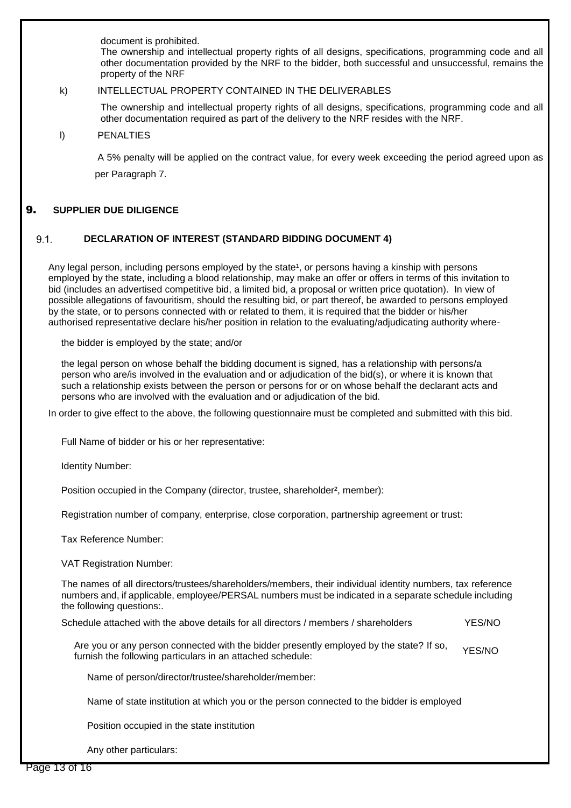document is prohibited.

The ownership and intellectual property rights of all designs, specifications, programming code and all other documentation provided by the NRF to the bidder, both successful and unsuccessful, remains the property of the NRF

### k) INTELLECTUAL PROPERTY CONTAINED IN THE DELIVERABLES

The ownership and intellectual property rights of all designs, specifications, programming code and all other documentation required as part of the delivery to the NRF resides with the NRF.

## l) PENALTIES

A 5% penalty will be applied on the contract value, for every week exceeding the period agreed upon as per Paragraph 7.

# 9. **SUPPLIER DUE DILIGENCE**

#### $9.1.$ **DECLARATION OF INTEREST (STANDARD BIDDING DOCUMENT 4)**

Any legal person, including persons employed by the state<sup>1</sup>, or persons having a kinship with persons employed by the state, including a blood relationship, may make an offer or offers in terms of this invitation to bid (includes an advertised competitive bid, a limited bid, a proposal or written price quotation). In view of possible allegations of favouritism, should the resulting bid, or part thereof, be awarded to persons employed by the state, or to persons connected with or related to them, it is required that the bidder or his/her authorised representative declare his/her position in relation to the evaluating/adjudicating authority where-

the bidder is employed by the state; and/or

the legal person on whose behalf the bidding document is signed, has a relationship with persons/a person who are/is involved in the evaluation and or adjudication of the bid(s), or where it is known that such a relationship exists between the person or persons for or on whose behalf the declarant acts and persons who are involved with the evaluation and or adjudication of the bid.

In order to give effect to the above, the following questionnaire must be completed and submitted with this bid.

Full Name of bidder or his or her representative:

Identity Number:

Position occupied in the Company (director, trustee, shareholder<sup>2</sup>, member):

Registration number of company, enterprise, close corporation, partnership agreement or trust:

Tax Reference Number:

VAT Registration Number:

The names of all directors/trustees/shareholders/members, their individual identity numbers, tax reference numbers and, if applicable, employee/PERSAL numbers must be indicated in a separate schedule including the following questions:.

Schedule attached with the above details for all directors / members / shareholders YES/NO

Are you or any person connected with the bidder presently employed by the state? If so, Are you or any person connected with the bidder presently employed by the state? If so, YES/NO<br>furnish the following particulars in an attached schedule:

Name of person/director/trustee/shareholder/member:

Name of state institution at which you or the person connected to the bidder is employed

Position occupied in the state institution

Any other particulars: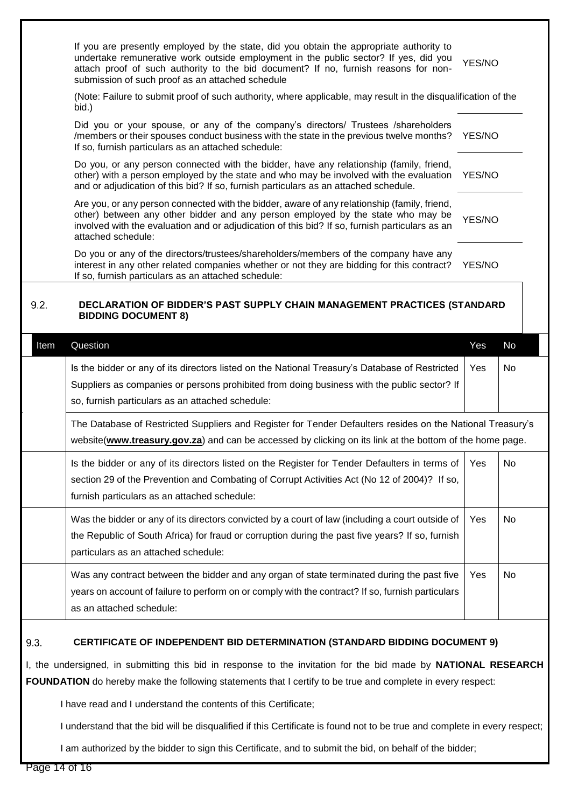|      | If you are presently employed by the state, did you obtain the appropriate authority to<br>undertake remunerative work outside employment in the public sector? If yes, did you<br>attach proof of such authority to the bid document? If no, furnish reasons for non-<br>submission of such proof as an attached schedule | YES/NO |    |
|------|----------------------------------------------------------------------------------------------------------------------------------------------------------------------------------------------------------------------------------------------------------------------------------------------------------------------------|--------|----|
|      | (Note: Failure to submit proof of such authority, where applicable, may result in the disqualification of the<br>bid.)                                                                                                                                                                                                     |        |    |
|      | Did you or your spouse, or any of the company's directors/ Trustees /shareholders<br>/members or their spouses conduct business with the state in the previous twelve months?<br>If so, furnish particulars as an attached schedule:                                                                                       | YES/NO |    |
|      | Do you, or any person connected with the bidder, have any relationship (family, friend,<br>other) with a person employed by the state and who may be involved with the evaluation<br>and or adjudication of this bid? If so, furnish particulars as an attached schedule.                                                  | YES/NO |    |
|      | Are you, or any person connected with the bidder, aware of any relationship (family, friend,<br>other) between any other bidder and any person employed by the state who may be<br>involved with the evaluation and or adjudication of this bid? If so, furnish particulars as an<br>attached schedule:                    | YES/NO |    |
|      | Do you or any of the directors/trustees/shareholders/members of the company have any<br>interest in any other related companies whether or not they are bidding for this contract?<br>If so, furnish particulars as an attached schedule:                                                                                  | YES/NO |    |
| 9.2. | DECLARATION OF BIDDER'S PAST SUPPLY CHAIN MANAGEMENT PRACTICES (STANDARD<br><b>BIDDING DOCUMENT 8)</b>                                                                                                                                                                                                                     |        |    |
|      |                                                                                                                                                                                                                                                                                                                            |        |    |
| Item | Question                                                                                                                                                                                                                                                                                                                   | Yes    | No |
|      | Is the bidder or any of its directors listed on the National Treasury's Database of Restricted<br>Suppliers as companies or persons prohibited from doing business with the public sector? If<br>so, furnish particulars as an attached schedule:                                                                          | Yes    | No |
|      | The Database of Restricted Suppliers and Register for Tender Defaulters resides on the National Treasury's<br>website(www.treasury.gov.za) and can be accessed by clicking on its link at the bottom of the home page.                                                                                                     |        |    |
|      | Is the bidder or any of its directors listed on the Register for Tender Defaulters in terms of<br>section 29 of the Prevention and Combating of Corrupt Activities Act (No 12 of 2004)? If so,<br>furnish particulars as an attached schedule:                                                                             | Yes    | No |
|      | Was the bidder or any of its directors convicted by a court of law (including a court outside of<br>the Republic of South Africa) for fraud or corruption during the past five years? If so, furnish<br>particulars as an attached schedule:                                                                               | Yes    | No |
|      | Was any contract between the bidder and any organ of state terminated during the past five<br>years on account of failure to perform on or comply with the contract? If so, furnish particulars<br>as an attached schedule:                                                                                                | Yes    | No |

#### 9.3. **CERTIFICATE OF INDEPENDENT BID DETERMINATION (STANDARD BIDDING DOCUMENT 9)**

I, the undersigned, in submitting this bid in response to the invitation for the bid made by **NATIONAL RESEARCH FOUNDATION** do hereby make the following statements that I certify to be true and complete in every respect:

I have read and I understand the contents of this Certificate;

I understand that the bid will be disqualified if this Certificate is found not to be true and complete in every respect;

I am authorized by the bidder to sign this Certificate, and to submit the bid, on behalf of the bidder;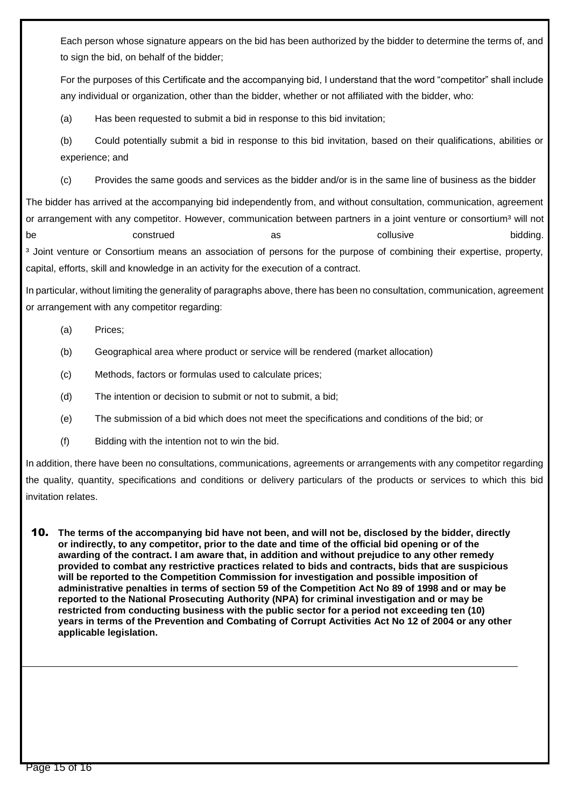Each person whose signature appears on the bid has been authorized by the bidder to determine the terms of, and to sign the bid, on behalf of the bidder;

For the purposes of this Certificate and the accompanying bid, I understand that the word "competitor" shall include any individual or organization, other than the bidder, whether or not affiliated with the bidder, who:

(a) Has been requested to submit a bid in response to this bid invitation;

(b) Could potentially submit a bid in response to this bid invitation, based on their qualifications, abilities or experience; and

(c) Provides the same goods and services as the bidder and/or is in the same line of business as the bidder

The bidder has arrived at the accompanying bid independently from, and without consultation, communication, agreement or arrangement with any competitor. However, communication between partners in a joint venture or consortium<sup>3</sup> will not be a construed as a collusive bidding. <sup>3</sup> Joint venture or Consortium means an association of persons for the purpose of combining their expertise, property, capital, efforts, skill and knowledge in an activity for the execution of a contract.

In particular, without limiting the generality of paragraphs above, there has been no consultation, communication, agreement or arrangement with any competitor regarding:

- (a) Prices;
- (b) Geographical area where product or service will be rendered (market allocation)
- (c) Methods, factors or formulas used to calculate prices;
- (d) The intention or decision to submit or not to submit, a bid;
- (e) The submission of a bid which does not meet the specifications and conditions of the bid; or
- (f) Bidding with the intention not to win the bid.

In addition, there have been no consultations, communications, agreements or arrangements with any competitor regarding the quality, quantity, specifications and conditions or delivery particulars of the products or services to which this bid invitation relates.

10. **The terms of the accompanying bid have not been, and will not be, disclosed by the bidder, directly or indirectly, to any competitor, prior to the date and time of the official bid opening or of the awarding of the contract. I am aware that, in addition and without prejudice to any other remedy provided to combat any restrictive practices related to bids and contracts, bids that are suspicious will be reported to the Competition Commission for investigation and possible imposition of administrative penalties in terms of section 59 of the Competition Act No 89 of 1998 and or may be reported to the National Prosecuting Authority (NPA) for criminal investigation and or may be restricted from conducting business with the public sector for a period not exceeding ten (10) years in terms of the Prevention and Combating of Corrupt Activities Act No 12 of 2004 or any other applicable legislation.**